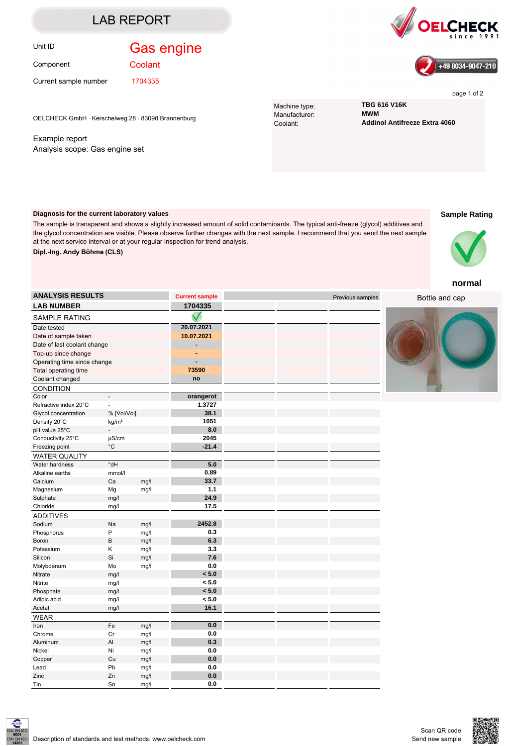### LAB REPORT

## Unit ID **Gas engine**

Component

**Coolant** 

at the next service interval or at your regular inspection for trend analysis.

Current sample number 1704335





page 1 of 2

Machine type: **TBG 616 V16K** Manufacturer: Coolant: **Addinol Antifreeze Extra 4060**

OELCHECK GmbH · Kerschelweg 28 · 83098 Brannenburg

Example report Analysis scope: Gas engine set

**Diagnosis for the current laboratory values**

**Dipl.-Ing. Andy Böhme (CLS)**

# **Sample Rating**



#### **normal**

| <b>LAB NUMBER</b><br><b>SAMPLE RATING</b> |                                  |      | 1704335    |  |
|-------------------------------------------|----------------------------------|------|------------|--|
|                                           |                                  |      |            |  |
| Date tested                               |                                  |      | 20.07.2021 |  |
| Date of sample taken                      |                                  |      | 10.07.2021 |  |
| Date of last coolant change               |                                  |      |            |  |
| Top-up since change                       |                                  |      |            |  |
| Operating time since change               |                                  |      |            |  |
| Total operating time                      |                                  |      | 73590      |  |
| Coolant changed                           |                                  |      | no         |  |
| CONDITION                                 |                                  |      |            |  |
| Color                                     |                                  |      | orangerot  |  |
| Refractive index 20°C                     |                                  |      | 1.3727     |  |
| Glycol concentration                      | % [Vol/Vol]                      |      | 38.1       |  |
| Density 20°C                              | kg/m <sup>3</sup>                |      | 1051       |  |
| pH value 25°C                             |                                  |      | 8.0        |  |
| Conductivity 25°C                         | µS/cm                            |      | 2045       |  |
| Freezing point                            | $^{\circ}{\rm C}$                |      | $-21.4$    |  |
| <b>WATER QUALITY</b>                      |                                  |      |            |  |
| Water hardness                            | $\overline{\mathsf{Hb}^{\circ}}$ |      | 5.0        |  |
| Alkaline earths                           | mmol/l                           |      | 0.89       |  |
| Calcium                                   | Ca                               | mg/l | 33.7       |  |
| Magnesium                                 | Mg                               | mg/l | 1.1        |  |
| Sulphate                                  | mg/l                             |      | 24.9       |  |
| Chloride                                  | mg/l                             |      | 17.5       |  |
| <b>ADDITIVES</b>                          |                                  |      |            |  |
| Sodium                                    | Na                               | mg/l | 2452.8     |  |
| Phosphorus                                | P                                | mg/l | 0.3        |  |
| Boron                                     | B                                | mg/l | 6.3        |  |
| Potassium                                 | Κ                                | mg/l | 3.3        |  |
| Silicon                                   | Si                               | mg/l | 7.6        |  |
| Molybdenum                                | Mo                               | mg/l | 0.0        |  |
| Nitrate                                   | mg/l                             |      | < 5.0      |  |
| Nitrite                                   | mg/l                             |      | < 5.0      |  |
| Phosphate                                 | mg/l                             |      | < 5.0      |  |
| Adipic acid                               | mg/l                             |      | < 5.0      |  |
| Acetat                                    | mg/l                             |      | 16.1       |  |
| <b>WEAR</b>                               |                                  |      |            |  |
| Iron                                      | Fe                               | mg/l | 0.0        |  |
| Chrome                                    | Cr                               | mg/l | 0.0        |  |
| Aluminum                                  | Al                               | mg/l | 0.3        |  |
| Nickel                                    | Ni                               | mg/l | 0.0        |  |
| Copper                                    | Cu                               | mg/l | 0.0        |  |
| Lead                                      | Pb                               | mg/l | 0.0        |  |

**ANALYSIS RESULTS Current sample Current sample Previous samples Previous samples** 

The sample is transparent and shows a slightly increased amount of solid contaminants. The typical anti-freeze (glycol) additives and the glycol concentration are visible. Please observe further changes with the next sample. I recommend that you send the next sample

Bottle and cap





Zinc Zn mg/l **0.0** Tin Sn mg/l **0.0**